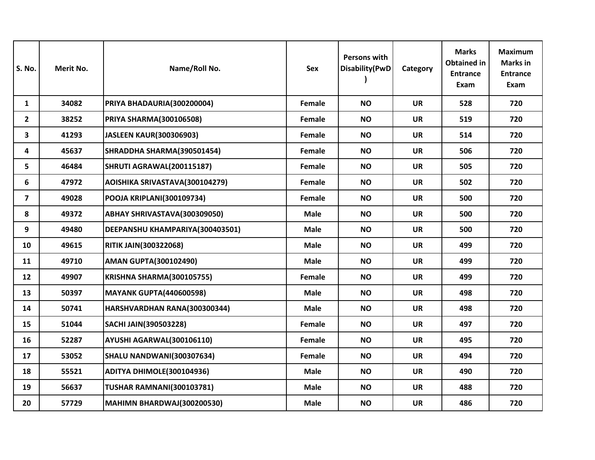| <b>S. No.</b>           | Merit No. | Name/Roll No.                     | <b>Sex</b>  | Persons with<br>Disability(PwD | Category  | <b>Marks</b><br><b>Obtained in</b><br><b>Entrance</b><br>Exam | <b>Maximum</b><br><b>Marks</b> in<br><b>Entrance</b><br>Exam |
|-------------------------|-----------|-----------------------------------|-------------|--------------------------------|-----------|---------------------------------------------------------------|--------------------------------------------------------------|
| $\mathbf{1}$            | 34082     | PRIYA BHADAURIA(300200004)        | Female      | <b>NO</b>                      | <b>UR</b> | 528                                                           | 720                                                          |
| $\overline{2}$          | 38252     | <b>PRIYA SHARMA(300106508)</b>    | Female      | <b>NO</b>                      | <b>UR</b> | 519                                                           | 720                                                          |
| 3                       | 41293     | <b>JASLEEN KAUR(300306903)</b>    | Female      | <b>NO</b>                      | <b>UR</b> | 514                                                           | 720                                                          |
| 4                       | 45637     | SHRADDHA SHARMA(390501454)        | Female      | <b>NO</b>                      | <b>UR</b> | 506                                                           | 720                                                          |
| 5                       | 46484     | <b>SHRUTI AGRAWAL(200115187)</b>  | Female      | <b>NO</b>                      | <b>UR</b> | 505                                                           | 720                                                          |
| 6                       | 47972     | AOISHIKA SRIVASTAVA(300104279)    | Female      | <b>NO</b>                      | <b>UR</b> | 502                                                           | 720                                                          |
| $\overline{\mathbf{z}}$ | 49028     | POOJA KRIPLANI(300109734)         | Female      | <b>NO</b>                      | <b>UR</b> | 500                                                           | 720                                                          |
| 8                       | 49372     | ABHAY SHRIVASTAVA(300309050)      | <b>Male</b> | <b>NO</b>                      | <b>UR</b> | 500                                                           | 720                                                          |
| 9                       | 49480     | DEEPANSHU KHAMPARIYA(300403501)   | <b>Male</b> | <b>NO</b>                      | <b>UR</b> | 500                                                           | 720                                                          |
| 10                      | 49615     | <b>RITIK JAIN(300322068)</b>      | <b>Male</b> | <b>NO</b>                      | <b>UR</b> | 499                                                           | 720                                                          |
| 11                      | 49710     | <b>AMAN GUPTA(300102490)</b>      | <b>Male</b> | <b>NO</b>                      | <b>UR</b> | 499                                                           | 720                                                          |
| 12                      | 49907     | KRISHNA SHARMA(300105755)         | Female      | <b>NO</b>                      | <b>UR</b> | 499                                                           | 720                                                          |
| 13                      | 50397     | <b>MAYANK GUPTA(440600598)</b>    | <b>Male</b> | <b>NO</b>                      | <b>UR</b> | 498                                                           | 720                                                          |
| 14                      | 50741     | HARSHVARDHAN RANA(300300344)      | <b>Male</b> | <b>NO</b>                      | <b>UR</b> | 498                                                           | 720                                                          |
| 15                      | 51044     | <b>SACHI JAIN(390503228)</b>      | Female      | <b>NO</b>                      | <b>UR</b> | 497                                                           | 720                                                          |
| 16                      | 52287     | AYUSHI AGARWAL(300106110)         | Female      | <b>NO</b>                      | <b>UR</b> | 495                                                           | 720                                                          |
| 17                      | 53052     | <b>SHALU NANDWANI(300307634)</b>  | Female      | <b>NO</b>                      | <b>UR</b> | 494                                                           | 720                                                          |
| 18                      | 55521     | ADITYA DHIMOLE(300104936)         | <b>Male</b> | <b>NO</b>                      | <b>UR</b> | 490                                                           | 720                                                          |
| 19                      | 56637     | <b>TUSHAR RAMNANI(300103781)</b>  | <b>Male</b> | <b>NO</b>                      | <b>UR</b> | 488                                                           | 720                                                          |
| 20                      | 57729     | <b>MAHIMN BHARDWAJ(300200530)</b> | <b>Male</b> | <b>NO</b>                      | <b>UR</b> | 486                                                           | 720                                                          |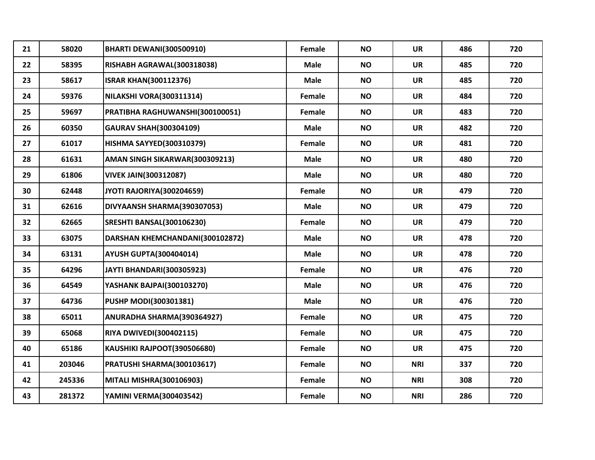| 21 | 58020  | <b>BHARTI DEWANI(300500910)</b>  | Female      | <b>NO</b> | <b>UR</b>  | 486 | 720 |
|----|--------|----------------------------------|-------------|-----------|------------|-----|-----|
| 22 | 58395  | RISHABH AGRAWAL(300318038)       | <b>Male</b> | <b>NO</b> | <b>UR</b>  | 485 | 720 |
| 23 | 58617  | <b>ISRAR KHAN(300112376)</b>     | <b>Male</b> | <b>NO</b> | <b>UR</b>  | 485 | 720 |
| 24 | 59376  | NILAKSHI VORA(300311314)         | Female      | <b>NO</b> | <b>UR</b>  | 484 | 720 |
| 25 | 59697  | PRATIBHA RAGHUWANSHI(300100051)  | Female      | <b>NO</b> | <b>UR</b>  | 483 | 720 |
| 26 | 60350  | <b>GAURAV SHAH(300304109)</b>    | <b>Male</b> | <b>NO</b> | <b>UR</b>  | 482 | 720 |
| 27 | 61017  | <b>HISHMA SAYYED(300310379)</b>  | Female      | <b>NO</b> | <b>UR</b>  | 481 | 720 |
| 28 | 61631  | AMAN SINGH SIKARWAR(300309213)   | <b>Male</b> | <b>NO</b> | <b>UR</b>  | 480 | 720 |
| 29 | 61806  | <b>VIVEK JAIN(300312087)</b>     | <b>Male</b> | <b>NO</b> | <b>UR</b>  | 480 | 720 |
| 30 | 62448  | JYOTI RAJORIYA(300204659)        | Female      | <b>NO</b> | <b>UR</b>  | 479 | 720 |
| 31 | 62616  | DIVYAANSH SHARMA(390307053)      | <b>Male</b> | <b>NO</b> | <b>UR</b>  | 479 | 720 |
| 32 | 62665  | SRESHTI BANSAL(300106230)        | Female      | <b>NO</b> | <b>UR</b>  | 479 | 720 |
| 33 | 63075  | DARSHAN KHEMCHANDANI(300102872)  | <b>Male</b> | <b>NO</b> | <b>UR</b>  | 478 | 720 |
| 34 | 63131  | <b>AYUSH GUPTA(300404014)</b>    | <b>Male</b> | <b>NO</b> | <b>UR</b>  | 478 | 720 |
| 35 | 64296  | <b>JAYTI BHANDARI(300305923)</b> | Female      | <b>NO</b> | <b>UR</b>  | 476 | 720 |
| 36 | 64549  | YASHANK BAJPAI(300103270)        | <b>Male</b> | <b>NO</b> | <b>UR</b>  | 476 | 720 |
| 37 | 64736  | PUSHP MODI(300301381)            | <b>Male</b> | <b>NO</b> | <b>UR</b>  | 476 | 720 |
| 38 | 65011  | ANURADHA SHARMA(390364927)       | Female      | <b>NO</b> | <b>UR</b>  | 475 | 720 |
| 39 | 65068  | <b>RIYA DWIVEDI(300402115)</b>   | Female      | <b>NO</b> | <b>UR</b>  | 475 | 720 |
| 40 | 65186  | KAUSHIKI RAJPOOT(390506680)      | Female      | <b>NO</b> | <b>UR</b>  | 475 | 720 |
| 41 | 203046 | PRATUSHI SHARMA(300103617)       | Female      | <b>NO</b> | <b>NRI</b> | 337 | 720 |
| 42 | 245336 | <b>MITALI MISHRA(300106903)</b>  | Female      | <b>NO</b> | <b>NRI</b> | 308 | 720 |
| 43 | 281372 | YAMINI VERMA(300403542)          | Female      | <b>NO</b> | <b>NRI</b> | 286 | 720 |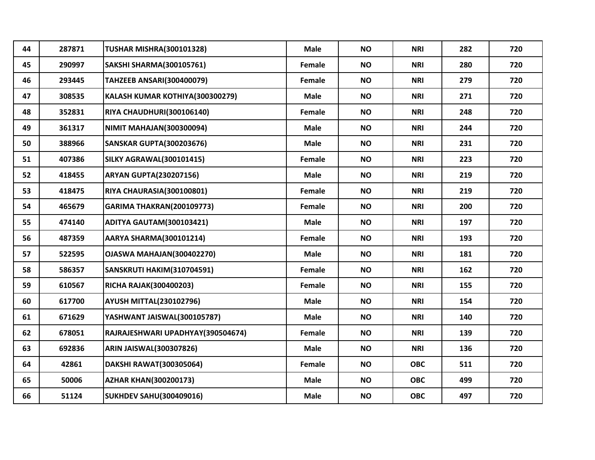| 44 | 287871 | <b>TUSHAR MISHRA(300101328)</b>   | <b>Male</b> | <b>NO</b> | <b>NRI</b> | 282 | 720 |
|----|--------|-----------------------------------|-------------|-----------|------------|-----|-----|
| 45 | 290997 | <b>SAKSHI SHARMA(300105761)</b>   | Female      | <b>NO</b> | <b>NRI</b> | 280 | 720 |
| 46 | 293445 | <b>TAHZEEB ANSARI(300400079)</b>  | Female      | <b>NO</b> | <b>NRI</b> | 279 | 720 |
| 47 | 308535 | KALASH KUMAR KOTHIYA(300300279)   | <b>Male</b> | <b>NO</b> | <b>NRI</b> | 271 | 720 |
| 48 | 352831 | RIYA CHAUDHURI(300106140)         | Female      | <b>NO</b> | <b>NRI</b> | 248 | 720 |
| 49 | 361317 | <b>NIMIT MAHAJAN(300300094)</b>   | <b>Male</b> | <b>NO</b> | <b>NRI</b> | 244 | 720 |
| 50 | 388966 | <b>SANSKAR GUPTA(300203676)</b>   | Male        | <b>NO</b> | <b>NRI</b> | 231 | 720 |
| 51 | 407386 | <b>SILKY AGRAWAL(300101415)</b>   | Female      | <b>NO</b> | <b>NRI</b> | 223 | 720 |
| 52 | 418455 | <b>ARYAN GUPTA(230207156)</b>     | <b>Male</b> | <b>NO</b> | <b>NRI</b> | 219 | 720 |
| 53 | 418475 | RIYA CHAURASIA(300100801)         | Female      | <b>NO</b> | <b>NRI</b> | 219 | 720 |
| 54 | 465679 | <b>GARIMA THAKRAN(200109773)</b>  | Female      | <b>NO</b> | <b>NRI</b> | 200 | 720 |
| 55 | 474140 | ADITYA GAUTAM(300103421)          | <b>Male</b> | <b>NO</b> | <b>NRI</b> | 197 | 720 |
| 56 | 487359 | <b>AARYA SHARMA(300101214)</b>    | Female      | <b>NO</b> | <b>NRI</b> | 193 | 720 |
| 57 | 522595 | OJASWA MAHAJAN(300402270)         | <b>Male</b> | <b>NO</b> | <b>NRI</b> | 181 | 720 |
| 58 | 586357 | SANSKRUTI HAKIM(310704591)        | Female      | <b>NO</b> | <b>NRI</b> | 162 | 720 |
| 59 | 610567 | <b>RICHA RAJAK(300400203)</b>     | Female      | <b>NO</b> | <b>NRI</b> | 155 | 720 |
| 60 | 617700 | <b>AYUSH MITTAL(230102796)</b>    | <b>Male</b> | <b>NO</b> | <b>NRI</b> | 154 | 720 |
| 61 | 671629 | YASHWANT JAISWAL(300105787)       | <b>Male</b> | <b>NO</b> | <b>NRI</b> | 140 | 720 |
| 62 | 678051 | RAJRAJESHWARI UPADHYAY(390504674) | Female      | <b>NO</b> | <b>NRI</b> | 139 | 720 |
| 63 | 692836 | <b>ARIN JAISWAL(300307826)</b>    | <b>Male</b> | <b>NO</b> | <b>NRI</b> | 136 | 720 |
| 64 | 42861  | DAKSHI RAWAT(300305064)           | Female      | <b>NO</b> | <b>OBC</b> | 511 | 720 |
| 65 | 50006  | <b>AZHAR KHAN(300200173)</b>      | <b>Male</b> | <b>NO</b> | <b>OBC</b> | 499 | 720 |
| 66 | 51124  | <b>SUKHDEV SAHU(300409016)</b>    | <b>Male</b> | <b>NO</b> | <b>OBC</b> | 497 | 720 |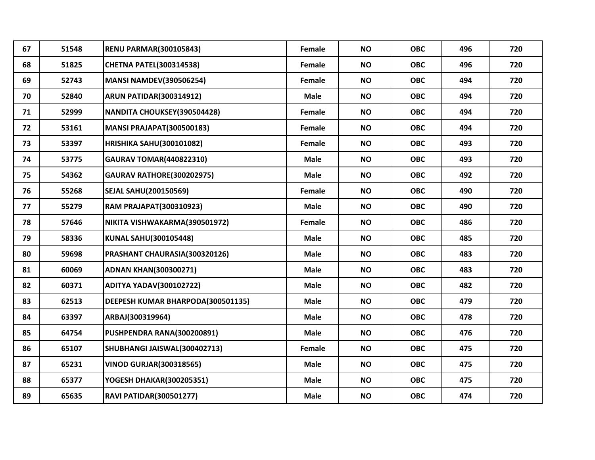| 67 | 51548 | <b>RENU PARMAR(300105843)</b>     | Female      | <b>NO</b> | <b>OBC</b> | 496 | 720 |
|----|-------|-----------------------------------|-------------|-----------|------------|-----|-----|
| 68 | 51825 | <b>CHETNA PATEL(300314538)</b>    | Female      | <b>NO</b> | <b>OBC</b> | 496 | 720 |
| 69 | 52743 | <b>MANSI NAMDEV(390506254)</b>    | Female      | <b>NO</b> | <b>OBC</b> | 494 | 720 |
| 70 | 52840 | <b>ARUN PATIDAR(300314912)</b>    | Male        | <b>NO</b> | <b>OBC</b> | 494 | 720 |
| 71 | 52999 | NANDITA CHOUKSEY(390504428)       | Female      | <b>NO</b> | <b>OBC</b> | 494 | 720 |
| 72 | 53161 | <b>MANSI PRAJAPAT(300500183)</b>  | Female      | <b>NO</b> | <b>OBC</b> | 494 | 720 |
| 73 | 53397 | <b>HRISHIKA SAHU(300101082)</b>   | Female      | <b>NO</b> | <b>OBC</b> | 493 | 720 |
| 74 | 53775 | <b>GAURAV TOMAR(440822310)</b>    | <b>Male</b> | <b>NO</b> | <b>OBC</b> | 493 | 720 |
| 75 | 54362 | <b>GAURAV RATHORE(300202975)</b>  | <b>Male</b> | <b>NO</b> | <b>OBC</b> | 492 | 720 |
| 76 | 55268 | <b>SEJAL SAHU(200150569)</b>      | Female      | <b>NO</b> | <b>OBC</b> | 490 | 720 |
| 77 | 55279 | <b>RAM PRAJAPAT(300310923)</b>    | <b>Male</b> | <b>NO</b> | <b>OBC</b> | 490 | 720 |
| 78 | 57646 | NIKITA VISHWAKARMA(390501972)     | Female      | <b>NO</b> | <b>OBC</b> | 486 | 720 |
| 79 | 58336 | KUNAL SAHU(300105448)             | <b>Male</b> | <b>NO</b> | <b>OBC</b> | 485 | 720 |
| 80 | 59698 | PRASHANT CHAURASIA(300320126)     | Male        | <b>NO</b> | <b>OBC</b> | 483 | 720 |
| 81 | 60069 | <b>ADNAN KHAN(300300271)</b>      | Male        | <b>NO</b> | <b>OBC</b> | 483 | 720 |
| 82 | 60371 | <b>ADITYA YADAV(300102722)</b>    | <b>Male</b> | <b>NO</b> | <b>OBC</b> | 482 | 720 |
| 83 | 62513 | DEEPESH KUMAR BHARPODA(300501135) | Male        | <b>NO</b> | <b>OBC</b> | 479 | 720 |
| 84 | 63397 | ARBAJ(300319964)                  | <b>Male</b> | <b>NO</b> | <b>OBC</b> | 478 | 720 |
| 85 | 64754 | PUSHPENDRA RANA(300200891)        | <b>Male</b> | <b>NO</b> | <b>OBC</b> | 476 | 720 |
| 86 | 65107 | SHUBHANGI JAISWAL(300402713)      | Female      | <b>NO</b> | <b>OBC</b> | 475 | 720 |
| 87 | 65231 | <b>VINOD GURJAR(300318565)</b>    | <b>Male</b> | <b>NO</b> | <b>OBC</b> | 475 | 720 |
| 88 | 65377 | YOGESH DHAKAR(300205351)          | Male        | <b>NO</b> | <b>OBC</b> | 475 | 720 |
| 89 | 65635 | <b>RAVI PATIDAR(300501277)</b>    | <b>Male</b> | <b>NO</b> | <b>OBC</b> | 474 | 720 |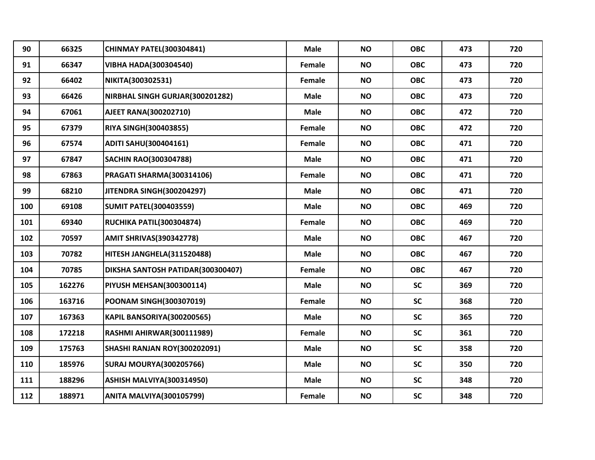| 90  | 66325  | <b>CHINMAY PATEL(300304841)</b>   | <b>Male</b> | <b>NO</b> | <b>OBC</b> | 473 | 720 |
|-----|--------|-----------------------------------|-------------|-----------|------------|-----|-----|
| 91  | 66347  | <b>VIBHA HADA(300304540)</b>      | Female      | <b>NO</b> | <b>OBC</b> | 473 | 720 |
| 92  | 66402  | NIKITA(300302531)                 | Female      | <b>NO</b> | <b>OBC</b> | 473 | 720 |
| 93  | 66426  | NIRBHAL SINGH GURJAR(300201282)   | <b>Male</b> | <b>NO</b> | <b>OBC</b> | 473 | 720 |
| 94  | 67061  | AJEET RANA(300202710)             | <b>Male</b> | <b>NO</b> | <b>OBC</b> | 472 | 720 |
| 95  | 67379  | <b>RIYA SINGH(300403855)</b>      | Female      | <b>NO</b> | <b>OBC</b> | 472 | 720 |
| 96  | 67574  | <b>ADITI SAHU(300404161)</b>      | Female      | <b>NO</b> | <b>OBC</b> | 471 | 720 |
| 97  | 67847  | <b>SACHIN RAO(300304788)</b>      | <b>Male</b> | <b>NO</b> | <b>OBC</b> | 471 | 720 |
| 98  | 67863  | PRAGATI SHARMA(300314106)         | Female      | <b>NO</b> | <b>OBC</b> | 471 | 720 |
| 99  | 68210  | JITENDRA SINGH(300204297)         | <b>Male</b> | <b>NO</b> | <b>OBC</b> | 471 | 720 |
| 100 | 69108  | <b>SUMIT PATEL(300403559)</b>     | <b>Male</b> | <b>NO</b> | <b>OBC</b> | 469 | 720 |
| 101 | 69340  | <b>RUCHIKA PATIL(300304874)</b>   | Female      | <b>NO</b> | <b>OBC</b> | 469 | 720 |
| 102 | 70597  | <b>AMIT SHRIVAS(390342778)</b>    | <b>Male</b> | <b>NO</b> | <b>OBC</b> | 467 | 720 |
| 103 | 70782  | HITESH JANGHELA(311520488)        | <b>Male</b> | <b>NO</b> | <b>OBC</b> | 467 | 720 |
| 104 | 70785  | DIKSHA SANTOSH PATIDAR(300300407) | Female      | <b>NO</b> | <b>OBC</b> | 467 | 720 |
| 105 | 162276 | <b>PIYUSH MEHSAN(300300114)</b>   | <b>Male</b> | <b>NO</b> | <b>SC</b>  | 369 | 720 |
| 106 | 163716 | POONAM SINGH(300307019)           | Female      | <b>NO</b> | <b>SC</b>  | 368 | 720 |
| 107 | 167363 | KAPIL BANSORIYA(300200565)        | <b>Male</b> | <b>NO</b> | <b>SC</b>  | 365 | 720 |
| 108 | 172218 | RASHMI AHIRWAR(300111989)         | Female      | <b>NO</b> | <b>SC</b>  | 361 | 720 |
| 109 | 175763 | SHASHI RANJAN ROY(300202091)      | <b>Male</b> | <b>NO</b> | <b>SC</b>  | 358 | 720 |
| 110 | 185976 | <b>SURAJ MOURYA(300205766)</b>    | <b>Male</b> | <b>NO</b> | <b>SC</b>  | 350 | 720 |
| 111 | 188296 | ASHISH MALVIYA(300314950)         | <b>Male</b> | <b>NO</b> | <b>SC</b>  | 348 | 720 |
| 112 | 188971 | <b>ANITA MALVIYA(300105799)</b>   | Female      | <b>NO</b> | <b>SC</b>  | 348 | 720 |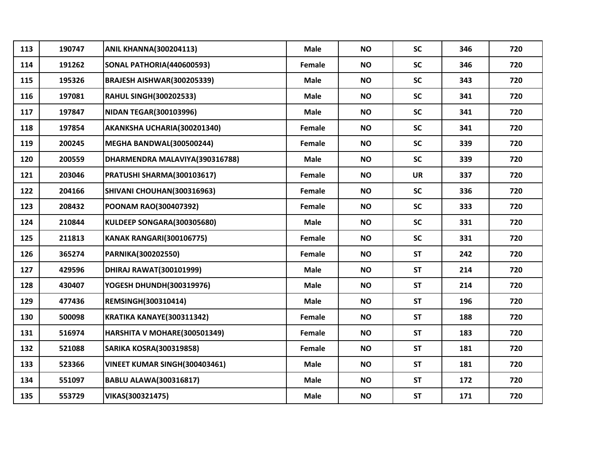| 113 | 190747 | <b>ANIL KHANNA(300204113)</b>    | <b>Male</b> | <b>NO</b> | <b>SC</b> | 346 | 720 |
|-----|--------|----------------------------------|-------------|-----------|-----------|-----|-----|
|     |        |                                  |             |           |           |     |     |
| 114 | 191262 | <b>SONAL PATHORIA(440600593)</b> | Female      | <b>NO</b> | <b>SC</b> | 346 | 720 |
| 115 | 195326 | BRAJESH AISHWAR(300205339)       | <b>Male</b> | <b>NO</b> | <b>SC</b> | 343 | 720 |
| 116 | 197081 | <b>RAHUL SINGH(300202533)</b>    | <b>Male</b> | <b>NO</b> | <b>SC</b> | 341 | 720 |
| 117 | 197847 | <b>NIDAN TEGAR(300103996)</b>    | <b>Male</b> | <b>NO</b> | <b>SC</b> | 341 | 720 |
| 118 | 197854 | AKANKSHA UCHARIA(300201340)      | Female      | <b>NO</b> | <b>SC</b> | 341 | 720 |
| 119 | 200245 | <b>MEGHA BANDWAL(300500244)</b>  | Female      | <b>NO</b> | <b>SC</b> | 339 | 720 |
| 120 | 200559 | DHARMENDRA MALAVIYA(390316788)   | <b>Male</b> | <b>NO</b> | <b>SC</b> | 339 | 720 |
| 121 | 203046 | PRATUSHI SHARMA(300103617)       | Female      | <b>NO</b> | <b>UR</b> | 337 | 720 |
| 122 | 204166 | SHIVANI CHOUHAN(300316963)       | Female      | <b>NO</b> | <b>SC</b> | 336 | 720 |
| 123 | 208432 | POONAM RAO(300407392)            | Female      | <b>NO</b> | <b>SC</b> | 333 | 720 |
| 124 | 210844 | KULDEEP SONGARA(300305680)       | <b>Male</b> | <b>NO</b> | <b>SC</b> | 331 | 720 |
| 125 | 211813 | <b>KANAK RANGARI(300106775)</b>  | Female      | <b>NO</b> | <b>SC</b> | 331 | 720 |
| 126 | 365274 | PARNIKA(300202550)               | Female      | <b>NO</b> | <b>ST</b> | 242 | 720 |
| 127 | 429596 | <b>DHIRAJ RAWAT(300101999)</b>   | <b>Male</b> | <b>NO</b> | <b>ST</b> | 214 | 720 |
| 128 | 430407 | YOGESH DHUNDH(300319976)         | <b>Male</b> | <b>NO</b> | <b>ST</b> | 214 | 720 |
| 129 | 477436 | <b>REMSINGH(300310414)</b>       | <b>Male</b> | <b>NO</b> | <b>ST</b> | 196 | 720 |
| 130 | 500098 | KRATIKA KANAYE(300311342)        | Female      | <b>NO</b> | <b>ST</b> | 188 | 720 |
| 131 | 516974 | HARSHITA V MOHARE(300501349)     | Female      | <b>NO</b> | <b>ST</b> | 183 | 720 |
| 132 | 521088 | <b>SARIKA KOSRA(300319858)</b>   | Female      | <b>NO</b> | <b>ST</b> | 181 | 720 |
| 133 | 523366 | VINEET KUMAR SINGH(300403461)    | <b>Male</b> | <b>NO</b> | <b>ST</b> | 181 | 720 |
| 134 | 551097 | <b>BABLU ALAWA(300316817)</b>    | <b>Male</b> | <b>NO</b> | <b>ST</b> | 172 | 720 |
| 135 | 553729 | VIKAS(300321475)                 | <b>Male</b> | <b>NO</b> | <b>ST</b> | 171 | 720 |